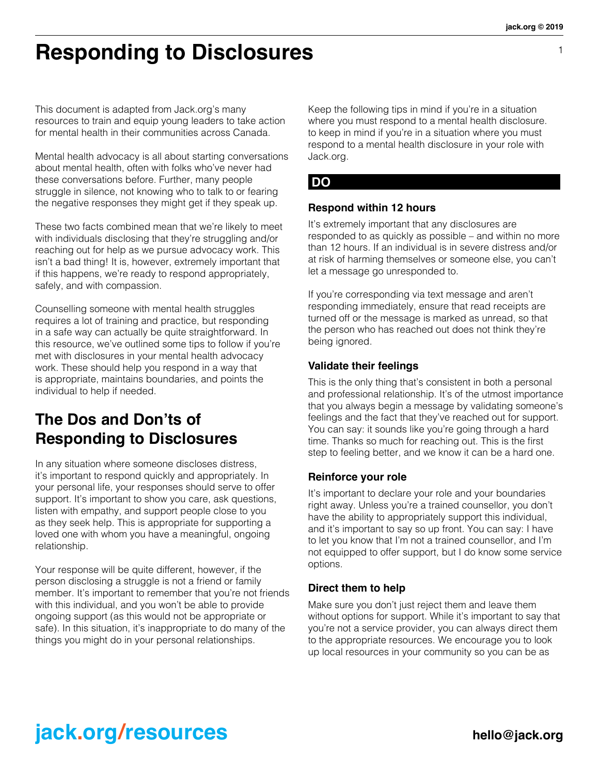1

## **Responding to Disclosures**

This document is adapted from Jack.org's many resources to train and equip young leaders to take action for mental health in their communities across Canada.

Mental health advocacy is all about starting conversations about mental health, often with folks who've never had these conversations before. Further, many people struggle in silence, not knowing who to talk to or fearing the negative responses they might get if they speak up.

These two facts combined mean that we're likely to meet with individuals disclosing that they're struggling and/or reaching out for help as we pursue advocacy work. This isn't a bad thing! It is, however, extremely important that if this happens, we're ready to respond appropriately, safely, and with compassion.

Counselling someone with mental health struggles requires a lot of training and practice, but responding in a safe way can actually be quite straightforward. In this resource, we've outlined some tips to follow if you're met with disclosures in your mental health advocacy work. These should help you respond in a way that is appropriate, maintains boundaries, and points the individual to help if needed.

## **The Dos and Don'ts of Responding to Disclosures**

In any situation where someone discloses distress, it's important to respond quickly and appropriately. In your personal life, your responses should serve to offer support. It's important to show you care, ask questions, listen with empathy, and support people close to you as they seek help. This is appropriate for supporting a loved one with whom you have a meaningful, ongoing relationship.

Your response will be quite different, however, if the person disclosing a struggle is not a friend or family member. It's important to remember that you're not friends with this individual, and you won't be able to provide ongoing support (as this would not be appropriate or safe). In this situation, it's inappropriate to do many of the things you might do in your personal relationships.

Keep the following tips in mind if you're in a situation where you must respond to a mental health disclosure. to keep in mind if you're in a situation where you must respond to a mental health disclosure in your role with Jack.org.

### **DO**

#### **Respond within 12 hours**

It's extremely important that any disclosures are responded to as quickly as possible – and within no more than 12 hours. If an individual is in severe distress and/or at risk of harming themselves or someone else, you can't let a message go unresponded to.

If you're corresponding via text message and aren't responding immediately, ensure that read receipts are turned off or the message is marked as unread, so that the person who has reached out does not think they're being ignored.

#### **Validate their feelings**

This is the only thing that's consistent in both a personal and professional relationship. It's of the utmost importance that you always begin a message by validating someone's feelings and the fact that they've reached out for support. You can say: it sounds like you're going through a hard time. Thanks so much for reaching out. This is the first step to feeling better, and we know it can be a hard one.

#### **Reinforce your role**

It's important to declare your role and your boundaries right away. Unless you're a trained counsellor, you don't have the ability to appropriately support this individual, and it's important to say so up front. You can say: I have to let you know that I'm not a trained counsellor, and I'm not equipped to offer support, but I do know some service options.

#### **Direct them to help**

Make sure you don't just reject them and leave them without options for support. While it's important to say that you're not a service provider, you can always direct them to the appropriate resources. We encourage you to look up local resources in your community so you can be as

## **jack.org/resources** hello@jack.org